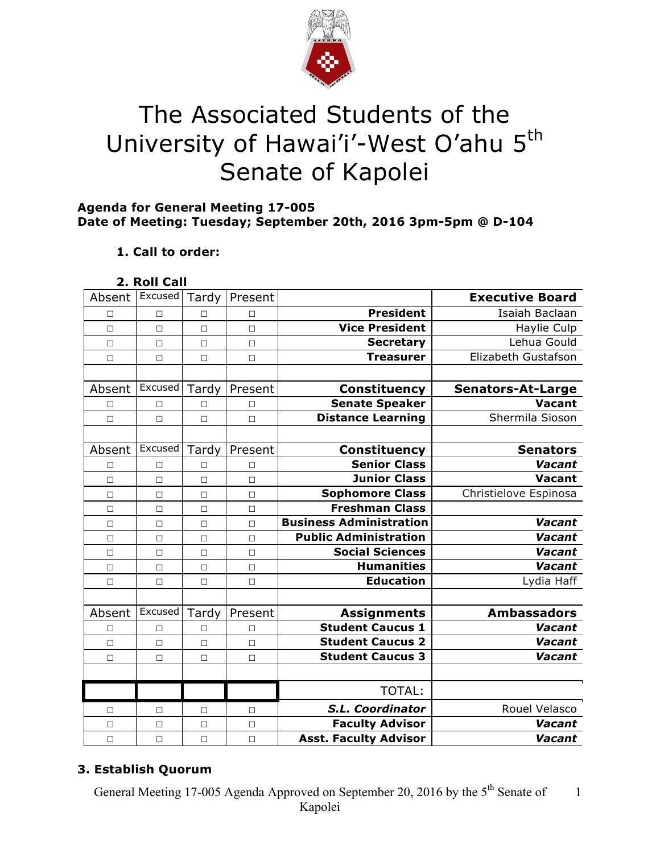

# The Associated Students of the University of Hawai'i'-West O'ahu 5<sup>th</sup> Senate of Kapolei

## **Agenda for General Meeting 17-005 Date of Meeting: Tuesday; September 20th, 2016 3pm-5pm @ D-104**

# **1. Call to order:**

| 2. Roll Call |  |
|--------------|--|
|              |  |

| Tardy  | Excused<br>Absent | Present |                                | <b>Executive Board</b>   |
|--------|-------------------|---------|--------------------------------|--------------------------|
| $\Box$ | П<br>$\Box$       | П       | <b>President</b>               | Isaiah Baclaan           |
| П      | $\Box$<br>$\Box$  | $\Box$  | <b>Vice President</b>          | Haylie Culp              |
| $\Box$ | $\Box$<br>$\Box$  | $\Box$  | <b>Secretary</b>               | Lehua Gould              |
| $\Box$ | $\Box$<br>$\Box$  | $\Box$  | <b>Treasurer</b>               | Elizabeth Gustafson      |
|        |                   |         |                                |                          |
| Tardy  | Excused<br>Absent | Present | <b>Constituency</b>            | <b>Senators-At-Large</b> |
| П      | П<br>П            | $\Box$  | <b>Senate Speaker</b>          | <b>Vacant</b>            |
| $\Box$ | $\Box$<br>$\Box$  | $\Box$  | <b>Distance Learning</b>       | Shermila Sioson          |
|        |                   |         |                                |                          |
| Tardy  | Excused<br>Absent | Present | Constituency                   | <b>Senators</b>          |
| П      | П<br>□            | П       | <b>Senior Class</b>            | Vacant                   |
| $\Box$ | $\Box$<br>$\Box$  | $\Box$  | <b>Junior Class</b>            | <b>Vacant</b>            |
| П      | $\Box$<br>$\Box$  | $\Box$  | <b>Sophomore Class</b>         | Christielove Espinosa    |
| $\Box$ | $\Box$<br>$\Box$  | $\Box$  | <b>Freshman Class</b>          |                          |
| $\Box$ | $\Box$<br>$\Box$  | $\Box$  | <b>Business Administration</b> | Vacant                   |
| $\Box$ | $\Box$<br>$\Box$  | $\Box$  | <b>Public Administration</b>   | Vacant                   |
| $\Box$ | $\Box$<br>$\Box$  | $\Box$  | <b>Social Sciences</b>         | Vacant                   |
| $\Box$ | $\Box$<br>$\Box$  | $\Box$  | <b>Humanities</b>              | Vacant                   |
| $\Box$ | $\Box$<br>$\Box$  | $\Box$  | <b>Education</b>               | Lydia Haff               |
|        |                   |         |                                |                          |
| Tardy  | Excused<br>Absent | Present | <b>Assignments</b>             | <b>Ambassadors</b>       |
| $\Box$ | $\Box$<br>$\Box$  | $\Box$  | <b>Student Caucus 1</b>        | Vacant                   |
| $\Box$ | $\Box$<br>$\Box$  | $\Box$  | <b>Student Caucus 2</b>        | Vacant                   |
| $\Box$ | $\Box$<br>$\Box$  | $\Box$  | <b>Student Caucus 3</b>        | Vacant                   |
|        |                   |         |                                |                          |
|        |                   |         | <b>TOTAL:</b>                  |                          |
| □      | □<br>□            | П       | S.L. Coordinator               | Rouel Velasco            |
| $\Box$ | $\Box$<br>$\Box$  | $\Box$  | <b>Faculty Advisor</b>         | Vacant                   |
| $\Box$ | $\Box$<br>$\Box$  | $\Box$  | <b>Asst. Faculty Advisor</b>   | Vacant                   |

# **3. Establish Quorum**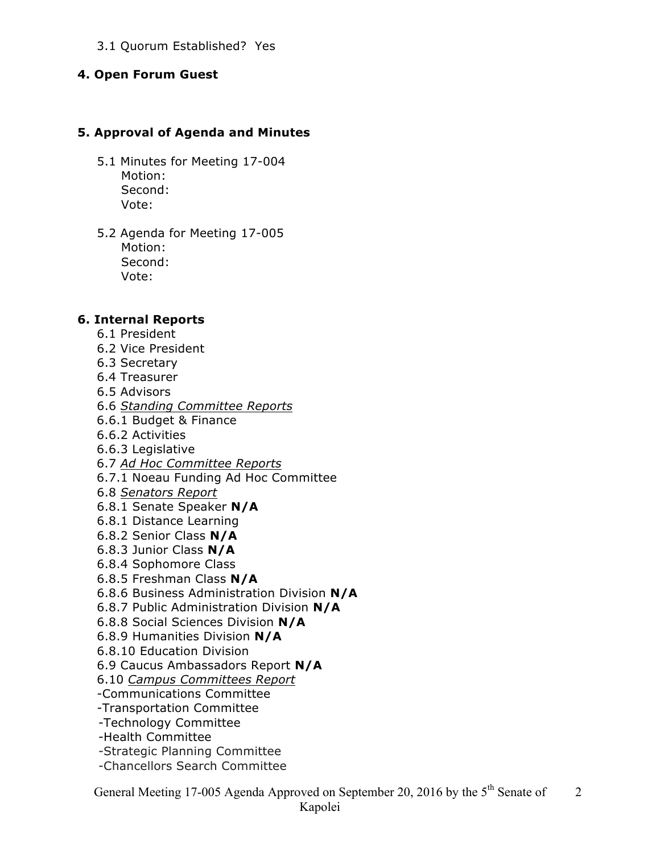#### 3.1 Quorum Established? Yes

#### **4. Open Forum Guest**

#### **5. Approval of Agenda and Minutes**

- 5.1 Minutes for Meeting 17-004 Motion: Second: Vote:
- 5.2 Agenda for Meeting 17-005 Motion: Second: Vote:

#### **6. Internal Reports**

- 6.1 President
- 6.2 Vice President
- 6.3 Secretary
- 6.4 Treasurer
- 6.5 Advisors
- 6.6 *Standing Committee Reports*
- 6.6.1 Budget & Finance
- 6.6.2 Activities
- 6.6.3 Legislative
- 6.7 *Ad Hoc Committee Reports*
- 6.7.1 Noeau Funding Ad Hoc Committee
- 6.8 *Senators Report*
- 6.8.1 Senate Speaker **N/A**
- 6.8.1 Distance Learning
- 6.8.2 Senior Class **N/A**
- 6.8.3 Junior Class **N/A**
- 6.8.4 Sophomore Class
- 6.8.5 Freshman Class **N/A**
- 6.8.6 Business Administration Division **N/A**
- 6.8.7 Public Administration Division **N/A**
- 6.8.8 Social Sciences Division **N/A**
- 6.8.9 Humanities Division **N/A**
- 6.8.10 Education Division
- 6.9 Caucus Ambassadors Report **N/A**
- 6.10 *Campus Committees Report*
- -Communications Committee
- -Transportation Committee
- -Technology Committee
- -Health Committee
- -Strategic Planning Committee
- -Chancellors Search Committee

General Meeting 17-005 Agenda Approved on September 20, 2016 by the 5<sup>th</sup> Senate of 2